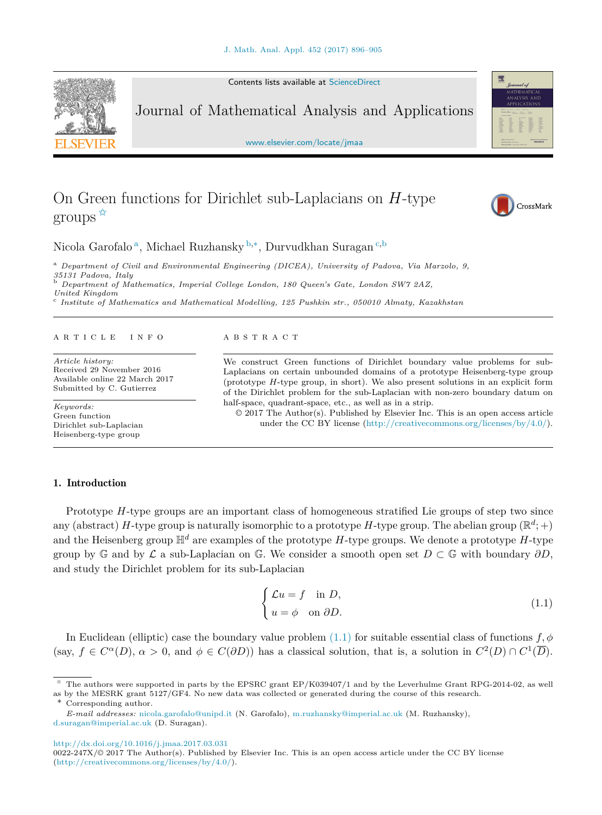Contents lists available at [ScienceDirect](http://www.ScienceDirect.com/)

<span id="page-0-0"></span>

Journal of Mathematical Analysis and Applications

[www.elsevier.com/locate/jmaa](http://www.elsevier.com/locate/jmaa)

# On Green functions for Dirichlet sub-Laplacians on *H*-type groups  $\overline{\mathbf{x}}$



CrossMark

霐

## Nicola Garofalo <sup>a</sup>, Michael Ruzhansky <sup>b</sup>*,*∗, Durvudkhan Suragan <sup>c</sup>*,*<sup>b</sup>

<sup>a</sup> *Department of Civil and Environmental Engineering (DICEA), University of Padova, Via Marzolo, 9,*

*<sup>35131</sup> Padova, Italy* <sup>b</sup> *Department of Mathematics, Imperial Col lege London, <sup>180</sup> Queen's Gate, London SW7 2AZ,*

*United Kingdom* <sup>c</sup> *Institute of Mathematics and Mathematical Model ling, 125 Pushkin str., 050010 Almaty, Kazakhstan*

#### A R T I C L E I N F O A B S T R A C T

*Article history:* Received 29 November 2016 Available online 22 March 2017 Submitted by C. Gutierrez

*Keywords:* Green function Dirichlet sub-Laplacian Heisenberg-type group

We construct Green functions of Dirichlet boundary value problems for sub-Laplacians on certain unbounded domains of a prototype Heisenberg-type group (prototype *H*-type group, in short). We also present solutions in an explicit form of the Dirichlet problem for the sub-Laplacian with non-zero boundary datum on half-space, quadrant-space, etc., as well as in a strip.

 $\odot$  2017 The Author(s). Published by Elsevier Inc. This is an open access article under the CC BY license [\(http://creativecommons.org/licenses/by/4.0/\)](http://creativecommons.org/licenses/by/4.0/).

### 1. Introduction

Prototype *H*-type groups are an important class of homogeneous stratified Lie groups of step two since any (abstract) *H*-type group is naturally isomorphic to a prototype *H*-type group. The abelian group ( $\mathbb{R}^d$ ; +) and the Heisenberg group  $\mathbb{H}^d$  are examples of the prototype *H*-type groups. We denote a prototype *H*-type group by G and by L a sub-Laplacian on G. We consider a smooth open set  $D \subset \mathbb{G}$  with boundary  $\partial D$ , and study the Dirichlet problem for its sub-Laplacian

$$
\begin{cases}\n\mathcal{L}u = f & \text{in } D, \\
u = \phi & \text{on } \partial D.\n\end{cases}
$$
\n(1.1)

In Euclidean (elliptic) case the boundary value problem  $(1.1)$  for suitable essential class of functions  $f, \phi$ (say,  $f \in C^{\alpha}(D)$ ,  $\alpha > 0$ , and  $\phi \in C(\partial D)$ ) has a classical solution, that is, a solution in  $C^2(D) \cap C^1(\overline{D})$ .

<http://dx.doi.org/10.1016/j.jmaa.2017.03.031>

<sup>✩</sup> The authors were supported in parts by the EPSRC grant EP/K039407/1 and by the Leverhulme Grant RPG-2014-02, as well as by the MESRK grant 5127/GF4. No new data was collected or generated during the course of this research.

Corresponding author.

*E-mail addresses:* [nicola.garofalo@unipd.it](mailto:nicola.garofalo@unipd.it) (N. Garofalo), [m.ruzhansky@imperial.ac.uk](mailto:m.ruzhansky@imperial.ac.uk) (M. Ruzhansky), [d.suragan@imperial.ac.uk](mailto:d.suragan@imperial.ac.uk) (D. Suragan).

<sup>0022-247</sup>X/© 2017 The Author(s). Published by Elsevier Inc. This is an open access article under the CC BY license [\(http://creativecommons.org/licenses/by/4.0/](http://creativecommons.org/licenses/by/4.0/)).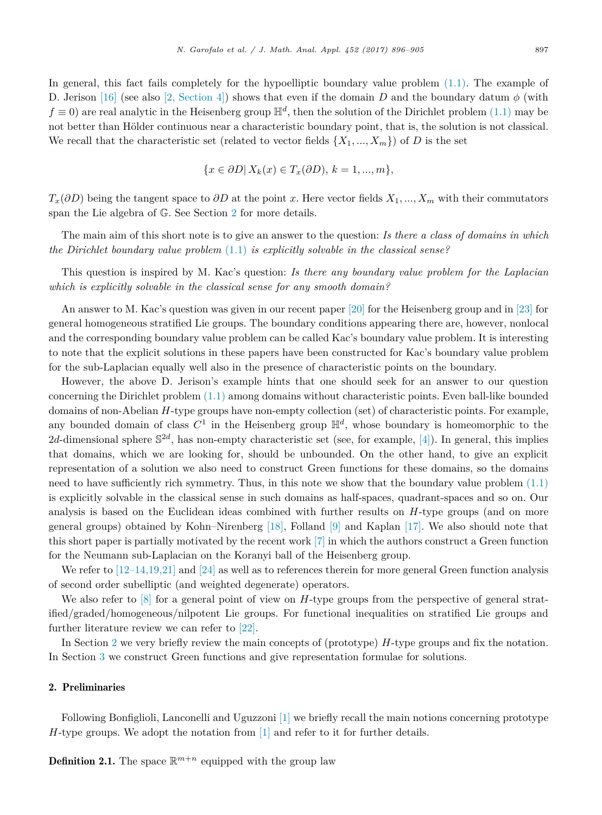In general, this fact fails completely for the hypoelliptic boundary value problem  $(1.1)$ . The example of D. Jerison [\[16\]](#page-9-0) (see also [2, [Section 4\]\)](#page-9-0) shows that even if the domain *D* and the boundary datum *φ* (with  $f \equiv 0$ ) are real analytic in the Heisenberg group  $\mathbb{H}^d$ , then the solution of the Dirichlet problem [\(1.1\)](#page-0-0) may be not better than Hölder continuous near a characteristic boundary point, that is, the solution is not classical. We recall that the characteristic set (related to vector fields  $\{X_1, ..., X_m\}$ ) of *D* is the set

$$
\{x \in \partial D | X_k(x) \in T_x(\partial D), k = 1, ..., m\},\
$$

 $T_x(\partial D)$  being the tangent space to  $\partial D$  at the point *x*. Here vector fields  $X_1, ..., X_m$  with their commutators span the Lie algebra of G. See Section 2 for more details.

The main aim of this short note is to give an answer to the question: *Is there a class of domains in which the Dirichlet boundary value problem* [\(1.1\)](#page-0-0) *is explicitly solvable in the classical sense?*

This question is inspired by M. Kac's question: *Is there any boundary value problem for the Laplacian which is explicitly solvable in the classical sense for any smooth domain?*

An answer to M. Kac's question was given in our recent paper [\[20\]](#page-9-0) for the Heisenberg group and in [\[23\]](#page-9-0) for general homogeneous stratified Lie groups. The boundary conditions appearing there are, however, nonlocal and the corresponding boundary value problem can be called Kac's boundary value problem. It is interesting to note that the explicit solutions in these papers have been constructed for Kac's boundary value problem for the sub-Laplacian equally well also in the presence of characteristic points on the boundary.

However, the above D. Jerison's example hints that one should seek for an answer to our question concerning the Dirichlet problem [\(1.1\)](#page-0-0) among domains without characteristic points. Even ball-like bounded domains of non-Abelian *H*-type groups have non-empty collection (set) of characteristic points. For example, any bounded domain of class  $C^1$  in the Heisenberg group  $\mathbb{H}^d$ , whose boundary is homeomorphic to the 2*d*-dimensional sphere  $\mathbb{S}^{2d}$ , has non-empty characteristic set (see, for example, [\[4\]\)](#page-9-0). In general, this implies that domains, which we are looking for, should be unbounded. On the other hand, to give an explicit representation of a solution we also need to construct Green functions for these domains, so the domains need to have sufficiently rich symmetry. Thus, in this note we show that the boundary value problem [\(1.1\)](#page-0-0) is explicitly solvable in the classical sense in such domains as half-spaces, quadrant-spaces and so on. Our analysis is based on the Euclidean ideas combined with further results on *H*-type groups (and on more general groups) obtained by Kohn–Nirenberg [\[18\],](#page-9-0) Folland [\[9\]](#page-9-0) and Kaplan [\[17\].](#page-9-0) We also should note that this short paper is partially motivated by the recent work [\[7\]](#page-9-0) in which the authors construct a Green function for the Neumann sub-Laplacian on the Koranyi ball of the Heisenberg group.

We refer to [\[12–14,19,21\]](#page-9-0) and [\[24\]](#page-9-0) as well as to references therein for more general Green function analysis of second order subelliptic (and weighted degenerate) operators.

We also refer to [\[8\]](#page-9-0) for a general point of view on *H*-type groups from the perspective of general stratified/graded/homogeneous/nilpotent Lie groups. For functional inequalities on stratified Lie groups and further literature review we can refer to [\[22\].](#page-9-0)

In Section 2 we very briefly review the main concepts of (prototype) *H*-type groups and fix the notation. In Section [3](#page-3-0) we construct Green functions and give representation formulae for solutions.

#### 2. Preliminaries

Following Bonfiglioli, Lanconelli and Uguzzoni [\[1\]](#page-9-0) we briefly recall the main notions concerning prototype *H*-type groups. We adopt the notation from [\[1\]](#page-9-0) and refer to it for further details.

**Definition 2.1.** The space  $\mathbb{R}^{m+n}$  equipped with the group law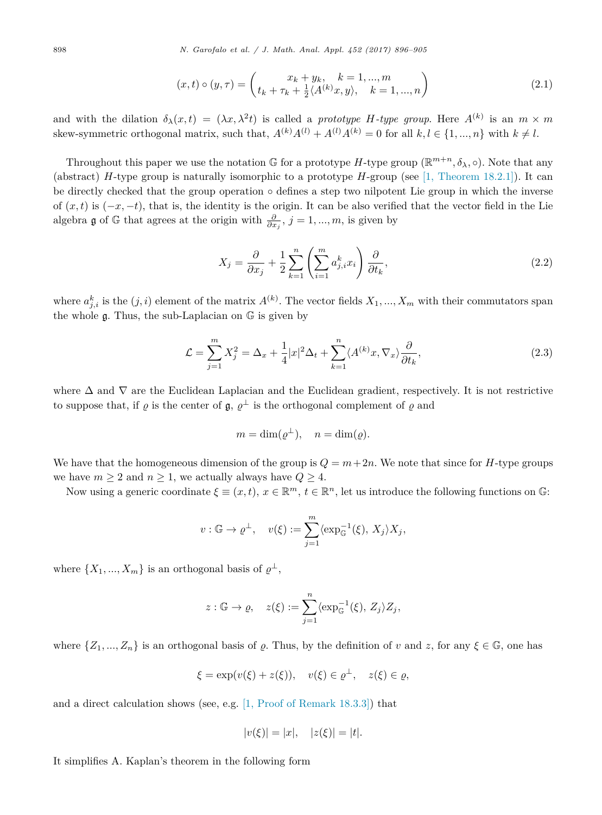898 *N. Garofalo et al. / J. Math. Anal. Appl. 452 (2017) 896–905*

$$
(x,t) \circ (y,\tau) = \begin{pmatrix} x_k + y_k, & k = 1, ..., m \\ t_k + \tau_k + \frac{1}{2} \langle A^{(k)} x, y \rangle, & k = 1, ..., n \end{pmatrix}
$$
 (2.1)

and with the dilation  $\delta_{\lambda}(x,t) = (\lambda x, \lambda^2 t)$  is called a *prototype H-type group*. Here  $A^{(k)}$  is an  $m \times m$ skew-symmetric orthogonal matrix, such that,  $A^{(k)}A^{(l)} + A^{(l)}A^{(k)} = 0$  for all  $k, l \in \{1, ..., n\}$  with  $k \neq l$ .

Throughout this paper we use the notation G for a prototype *H*-type group ( $\mathbb{R}^{m+n}, \delta_{\lambda}, \circ$ ). Note that any (abstract) *H*-type group is naturally isomorphic to a prototype *H*-group (see [1, [Theorem 18.2.1\]\)](#page-9-0). It can be directly checked that the group operation  $\circ$  defines a step two nilpotent Lie group in which the inverse of  $(x,t)$  is  $(-x,-t)$ , that is, the identity is the origin. It can be also verified that the vector field in the Lie algebra  $\mathfrak g$  of  $\mathbb G$  that agrees at the origin with  $\frac{\partial}{\partial x_j}$ ,  $j = 1, ..., m$ , is given by

$$
X_j = \frac{\partial}{\partial x_j} + \frac{1}{2} \sum_{k=1}^n \left( \sum_{i=1}^m a_{j,i}^k x_i \right) \frac{\partial}{\partial t_k},\tag{2.2}
$$

where  $a_{j,i}^k$  is the  $(j,i)$  element of the matrix  $A^{(k)}$ . The vector fields  $X_1, ..., X_m$  with their commutators span the whole  $\mathfrak g$ . Thus, the sub-Laplacian on  $\mathbb G$  is given by

$$
\mathcal{L} = \sum_{j=1}^{m} X_j^2 = \Delta_x + \frac{1}{4} |x|^2 \Delta_t + \sum_{k=1}^{n} \langle A^{(k)} x, \nabla_x \rangle \frac{\partial}{\partial t_k},\tag{2.3}
$$

where  $\Delta$  and  $\nabla$  are the Euclidean Laplacian and the Euclidean gradient, respectively. It is not restrictive to suppose that, if  $\rho$  is the center of  $\mathfrak{g}, \rho^{\perp}$  is the orthogonal complement of  $\rho$  and

$$
m = \dim(\varrho^{\perp}), \quad n = \dim(\varrho).
$$

We have that the homogeneous dimension of the group is  $Q = m + 2n$ . We note that since for *H*-type groups we have  $m \geq 2$  and  $n \geq 1$ , we actually always have  $Q \geq 4$ .

Now using a generic coordinate  $\xi \equiv (x,t)$ ,  $x \in \mathbb{R}^m$ ,  $t \in \mathbb{R}^n$ , let us introduce the following functions on  $\mathbb{G}$ :

$$
v: \mathbb{G} \to \varrho^{\perp}, \quad v(\xi) := \sum_{j=1}^{m} \langle \exp_{\mathbb{G}}^{-1}(\xi), X_j \rangle X_j,
$$

where  $\{X_1, ..., X_m\}$  is an orthogonal basis of  $\varrho^{\perp}$ ,

$$
z: \mathbb{G} \to \varrho, \quad z(\xi) := \sum_{j=1}^n \langle \exp_{\mathbb{G}}^{-1}(\xi), Z_j \rangle Z_j,
$$

where  $\{Z_1, ..., Z_n\}$  is an orthogonal basis of  $\varrho$ . Thus, by the definition of *v* and *z*, for any  $\xi \in \mathbb{G}$ , one has

$$
\xi = \exp(v(\xi) + z(\xi)), \quad v(\xi) \in \varrho^{\perp}, \quad z(\xi) \in \varrho,
$$

and a direct calculation shows (see, e.g. [1, Proof of [Remark 18.3.3\]\)](#page-9-0) that

$$
|v(\xi)| = |x|, \quad |z(\xi)| = |t|.
$$

It simplifies A. Kaplan's theorem in the following form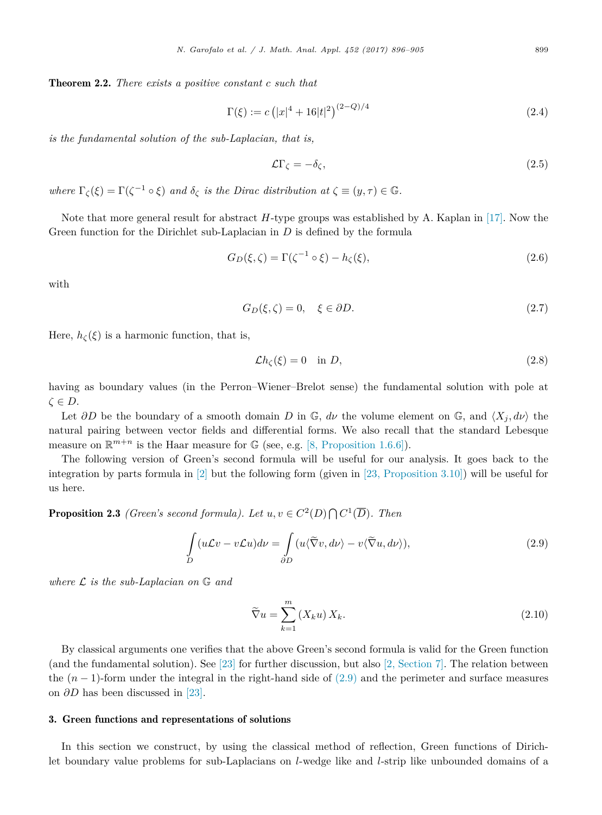<span id="page-3-0"></span>Theorem 2.2. *There exists a positive constant c such that*

$$
\Gamma(\xi) := c \left( |x|^4 + 16|t|^2 \right)^{(2-Q)/4} \tag{2.4}
$$

*is the fundamental solution of the sub-Laplacian, that is,*

$$
\mathcal{L}\Gamma_{\zeta} = -\delta_{\zeta},\tag{2.5}
$$

*where*  $\Gamma_{\zeta}(\xi) = \Gamma(\zeta^{-1} \circ \xi)$  *and*  $\delta_{\zeta}$  *is the Dirac distribution*  $at \zeta \equiv (y, \tau) \in \mathbb{G}$ *.* 

Note that more general result for abstract *H*-type groups was established by A. Kaplan in [\[17\].](#page-9-0) Now the Green function for the Dirichlet sub-Laplacian in *D* is defined by the formula

$$
G_D(\xi,\zeta) = \Gamma(\zeta^{-1} \circ \xi) - h_{\zeta}(\xi),\tag{2.6}
$$

with

$$
G_D(\xi,\zeta) = 0, \quad \xi \in \partial D. \tag{2.7}
$$

Here,  $h_{\zeta}(\xi)$  is a harmonic function, that is,

$$
\mathcal{L}h_{\zeta}(\xi) = 0 \quad \text{in } D,\tag{2.8}
$$

having as boundary values (in the Perron–Wiener–Brelot sense) the fundamental solution with pole at *ζ* ∈ *D*.

Let  $\partial D$  be the boundary of a smooth domain *D* in  $\mathbb{G}$ ,  $d\nu$  the volume element on  $\mathbb{G}$ , and  $\langle X_j, d\nu \rangle$  the natural pairing between vector fields and differential forms. We also recall that the standard Lebesque measure on  $\mathbb{R}^{m+n}$  is the Haar measure for  $\mathbb{G}$  (see, e.g. [8, [Proposition 1.6.6\]\)](#page-9-0).

The following version of Green's second formula will be useful for our analysis. It goes back to the integration by parts formula in [\[2\]](#page-9-0) but the following form (given in [23, [Proposition 3.10\]\)](#page-9-0) will be useful for us here.

**Proposition 2.3** *(Green's second formula).* Let  $u, v \in C^2(D) \cap C^1(\overline{D})$ . Then

$$
\int_{D} (u\mathcal{L}v - v\mathcal{L}u)dv = \int_{\partial D} (u\langle \tilde{\nabla}v, d\nu \rangle - v\langle \tilde{\nabla}u, d\nu \rangle),
$$
\n(2.9)

*where* <sup>L</sup> *is the sub-Laplacian on* <sup>G</sup> *and*

$$
\widetilde{\nabla}u = \sum_{k=1}^{m} (X_k u) X_k.
$$
\n(2.10)

By classical arguments one verifies that the above Green's second formula is valid for the Green function (and the fundamental solution). See [\[23\]](#page-9-0) for further discussion, but also [2, [Section 7\].](#page-9-0) The relation between the  $(n-1)$ -form under the integral in the right-hand side of  $(2.9)$  and the perimeter and surface measures on *∂D* has been discussed in [\[23\].](#page-9-0)

#### 3. Green functions and representations of solutions

In this section we construct, by using the classical method of reflection, Green functions of Dirichlet boundary value problems for sub-Laplacians on *l*-wedge like and *l*-strip like unbounded domains of a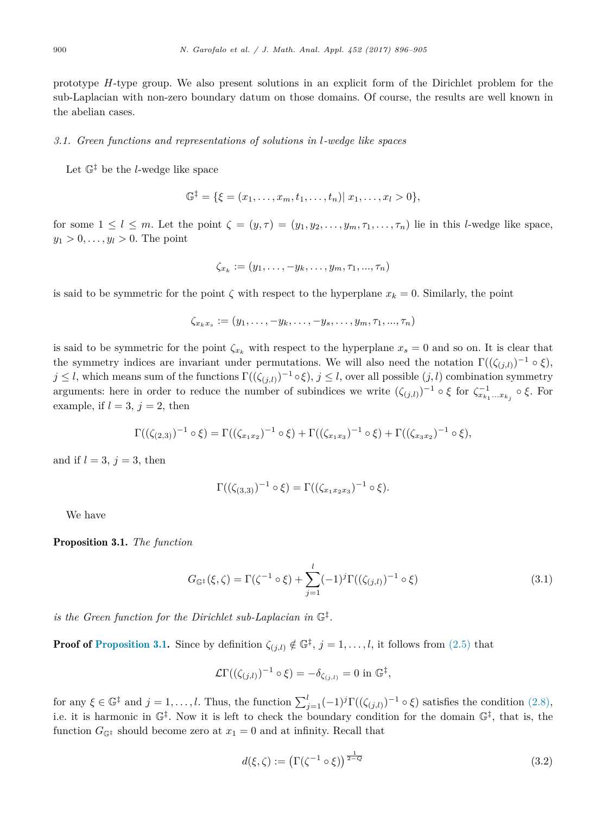<span id="page-4-0"></span>prototype *H*-type group. We also present solutions in an explicit form of the Dirichlet problem for the sub-Laplacian with non-zero boundary datum on those domains. Of course, the results are well known in the abelian cases.

#### *3.1. Green functions and representations of solutions in l-wedge like spaces*

Let  $\mathbb{G}^{\ddagger}$  be the *l*-wedge like space

$$
\mathbb{G}^{\ddagger} = \{ \xi = (x_1, \ldots, x_m, t_1, \ldots, t_n) | x_1, \ldots, x_l > 0 \},
$$

for some  $1 \leq l \leq m$ . Let the point  $\zeta = (y, \tau) = (y_1, y_2, \ldots, y_m, \tau_1, \ldots, \tau_n)$  lie in this *l*-wedge like space,  $y_1 > 0, \ldots, y_l > 0$ . The point

$$
\zeta_{x_k}:=(y_1,\ldots,-y_k,\ldots,y_m,\tau_1,\ldots,\tau_n)
$$

is said to be symmetric for the point  $\zeta$  with respect to the hyperplane  $x_k = 0$ . Similarly, the point

$$
\zeta_{x_kx_s}:=(y_1,\ldots,-y_k,\ldots,-y_s,\ldots,y_m,\tau_1,\ldots,\tau_n)
$$

is said to be symmetric for the point  $\zeta_{x_k}$  with respect to the hyperplane  $x_s = 0$  and so on. It is clear that the symmetry indices are invariant under permutations. We will also need the notation  $\Gamma((\zeta_{i,l}))^{-1} \circ \xi$ , *j* ≤ *l*, which means sum of the functions  $\Gamma((\zeta_{(i,l)})^{-1} \circ \xi)$ , *j* ≤ *l*, over all possible  $(j,l)$  combination symmetry arguments: here in order to reduce the number of subindices we write  $(\zeta_{(j,l)})^{-1} \circ \xi$  for  $\zeta_{x_{k_1}...x_{k_j}}^{-1} \circ \xi$ . For example, if  $l = 3$ ,  $j = 2$ , then

$$
\Gamma((\zeta_{(2,3)})^{-1} \circ \xi) = \Gamma((\zeta_{x_1x_2})^{-1} \circ \xi) + \Gamma((\zeta_{x_1x_3})^{-1} \circ \xi) + \Gamma((\zeta_{x_3x_2})^{-1} \circ \xi),
$$

and if  $l = 3$ ,  $j = 3$ , then

$$
\Gamma((\zeta_{(3,3)})^{-1} \circ \xi) = \Gamma((\zeta_{x_1x_2x_3})^{-1} \circ \xi).
$$

We have

Proposition 3.1. *The function*

$$
G_{\mathbb{G}^{\ddagger}}(\xi,\zeta) = \Gamma(\zeta^{-1} \circ \xi) + \sum_{j=1}^{l} (-1)^j \Gamma((\zeta_{(j,l)})^{-1} \circ \xi)
$$
\n(3.1)

*is the Green function for the Dirichlet sub-Laplacian in* G‡*.*

**Proof of Proposition 3.1.** Since by definition  $\zeta_{(i,l)} \notin \mathbb{G}^{\ddagger}$ ,  $j = 1, \ldots, l$ , it follows from [\(2.5\)](#page-3-0) that

$$
\mathcal{L}\Gamma((\zeta_{(j,l)})^{-1}\circ\xi)=-\delta_{\zeta_{(j,l)}}=0\text{ in }\mathbb{G}^{\ddagger},
$$

for any  $\xi \in \mathbb{G}^{\ddagger}$  and  $j = 1, ..., l$ . Thus, the function  $\sum_{j=1}^{l}(-1)^{j}\Gamma((\zeta_{(j,l)})^{-1} \circ \xi)$  satisfies the condition  $(2.8)$ , i.e. it is harmonic in  $\mathbb{G}^{\ddagger}$ . Now it is left to check the boundary condition for the domain  $\mathbb{G}^{\ddagger}$ , that is, the function  $G_{\mathbb{G}^{\ddagger}}$  should become zero at  $x_1 = 0$  and at infinity. Recall that

$$
d(\xi,\zeta) := \left(\Gamma(\zeta^{-1} \circ \xi)\right)^{\frac{1}{2-q}}\tag{3.2}
$$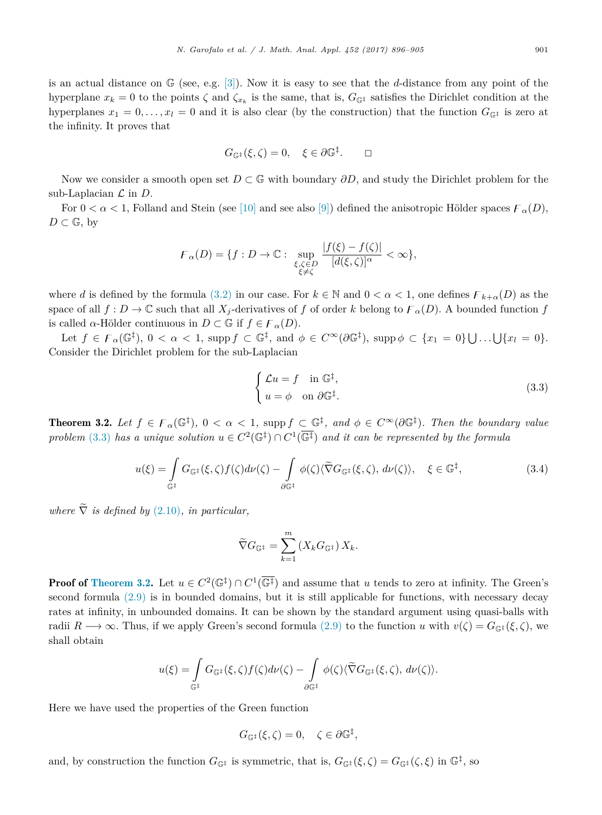<span id="page-5-0"></span>is an actual distance on G (see, e.g. [\[3\]\)](#page-9-0). Now it is easy to see that the *d*-distance from any point of the hyperplane  $x_k = 0$  to the points  $\zeta$  and  $\zeta_{x_k}$  is the same, that is,  $G_{\mathbb{G}^{\ddagger}}$  satisfies the Dirichlet condition at the hyperplanes  $x_1 = 0, \ldots, x_l = 0$  and it is also clear (by the construction) that the function  $G_{\mathbb{G}^{\ddagger}}$  is zero at the infinity. It proves that

$$
G_{\mathbb{G}^{\ddagger}}(\xi,\zeta)=0, \quad \xi \in \partial \mathbb{G}^{\ddagger}.\qquad \Box
$$

Now we consider a smooth open set *D* ⊂ *G* with boundary *∂D*, and study the Dirichlet problem for the sub-Laplacian  $\mathcal L$  in  $D$ .

For  $0 < \alpha < 1$ , Folland and Stein (see [\[10\]](#page-9-0) and see also [\[9\]\)](#page-9-0) defined the anisotropic Hölder spaces  $\mathcal{F}_{\alpha}(D)$ ,  $D \subset \mathbb{G}$ , by

$$
\mathcal{F}_{\alpha}(D) = \{f : D \to \mathbb{C} : \sup_{\substack{\xi, \zeta \in D \\ \xi \neq \zeta}} \frac{|f(\xi) - f(\zeta)|}{[d(\xi, \zeta)]^{\alpha}} < \infty\},\
$$

where *d* is defined by the formula [\(3.2\)](#page-4-0) in our case. For  $k \in \mathbb{N}$  and  $0 < \alpha < 1$ , one defines  $\mathcal{F}_{k+\alpha}(D)$  as the space of all  $f: D \to \mathbb{C}$  such that all  $X_j$ -derivatives of  $f$  of order  $k$  belong to  $\mathcal{F}_\alpha(D)$ . A bounded function  $f$ is called *α*-Hölder continuous in  $D \subset \mathbb{G}$  if  $f \in \mathcal{F}_{\alpha}(D)$ .

Let  $f \in \mathcal{F}_{\alpha}(\mathbb{G}^{\ddagger}), 0 < \alpha < 1$ , supp  $f \subset \mathbb{G}^{\ddagger}$ , and  $\phi \in C^{\infty}(\partial \mathbb{G}^{\ddagger})$ , supp  $\phi \subset \{x_1 = 0\} \cup ... \cup \{x_l = 0\}$ . Consider the Dirichlet problem for the sub-Laplacian

$$
\begin{cases}\n\mathcal{L}u = f & \text{in } \mathbb{G}^{\ddagger}, \\
u = \phi & \text{on } \partial \mathbb{G}^{\ddagger}.\n\end{cases}
$$
\n(3.3)

**Theorem 3.2.** Let  $f \in F_\alpha(\mathbb{G}^{\ddagger}), 0 < \alpha < 1$ , supp  $f \subset \mathbb{G}^{\ddagger}$ , and  $\phi \in C^\infty(\partial \mathbb{G}^{\ddagger})$ . Then the boundary value *problem* (3.3) *has a unique solution*  $u \in C^2(\mathbb{G}^{\ddagger}) \cap C^1(\overline{\mathbb{G}^{\ddagger}})$  *and it can be represented by the formula* 

$$
u(\xi) = \int\limits_{\mathbb{G}^{\ddagger}} G_{\mathbb{G}^{\ddagger}}(\xi, \zeta) f(\zeta) d\nu(\zeta) - \int\limits_{\partial \mathbb{G}^{\ddagger}} \phi(\zeta) \langle \widetilde{\nabla} G_{\mathbb{G}^{\ddagger}}(\xi, \zeta), d\nu(\zeta) \rangle, \quad \xi \in \mathbb{G}^{\ddagger}, \tag{3.4}
$$

*where*  $\tilde{\nabla}$  *is defined by* [\(2.10\)](#page-3-0)*, in particular,* 

$$
\widetilde{\nabla} G_{\mathbb{G}^{\ddagger}} = \sum_{k=1}^{m} \left( X_k G_{\mathbb{G}^{\ddagger}} \right) X_k.
$$

**Proof of Theorem 3.2.** Let  $u \in C^2(\mathbb{G}^{\ddagger}) \cap C^1(\overline{\mathbb{G}^{\ddagger}})$  and assume that *u* tends to zero at infinity. The Green's second formula [\(2.9\)](#page-3-0) is in bounded domains, but it is still applicable for functions, with necessary decay rates at infinity, in unbounded domains. It can be shown by the standard argument using quasi-balls with radii  $R \to \infty$ . Thus, if we apply Green's second formula [\(2.9\)](#page-3-0) to the function *u* with  $v(\zeta) = G_{\mathbb{G}^{\ddagger}}(\xi, \zeta)$ , we shall obtain

$$
u(\xi) = \int\limits_{\mathbb{G}^{\ddagger}} G_{\mathbb{G}^{\ddagger}}(\xi, \zeta) f(\zeta) d\nu(\zeta) - \int\limits_{\partial \mathbb{G}^{\ddagger}} \phi(\zeta) \langle \widetilde{\nabla} G_{\mathbb{G}^{\ddagger}}(\xi, \zeta), d\nu(\zeta) \rangle.
$$

Here we have used the properties of the Green function

$$
G_{\mathbb{G}^{\ddagger}}(\xi,\zeta)=0,\quad \zeta\in\partial\mathbb{G}^{\ddagger},
$$

and, by construction the function  $G_{\mathbb{G}^{\ddagger}}$  is symmetric, that is,  $G_{\mathbb{G}^{\ddagger}}(\xi,\zeta) = G_{\mathbb{G}^{\ddagger}}(\zeta,\xi)$  in  $\mathbb{G}^{\ddagger}$ , so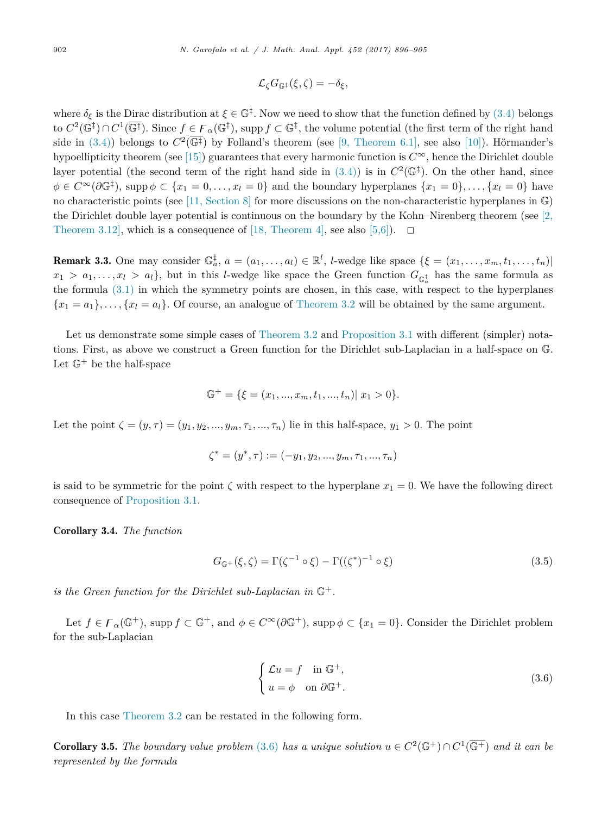$$
\mathcal{L}_\zeta G_{\mathbb{G}^\ddagger}(\xi,\zeta)=-\delta_\xi,
$$

where  $\delta_{\xi}$  is the Dirac distribution at  $\xi \in \mathbb{G}^{\ddagger}$ . Now we need to show that the function defined by [\(3.4\)](#page-5-0) belongs to  $C^2(\mathbb{G}^{\ddagger}) \cap C^1(\overline{\mathbb{G}^{\ddagger}})$ . Since  $f \in F_\alpha(\mathbb{G}^{\ddagger})$ , supp  $f \subset \mathbb{G}^{\ddagger}$ , the volume potential (the first term of the right hand side in [\(3.4\)\)](#page-5-0) belongs to  $C^2(\overline{\mathbb{G}^+})$  by Folland's theorem (see [9, [Theorem 6.1\],](#page-9-0) see also [\[10\]\)](#page-9-0). Hörmander's hypoellipticity theorem (see [\[15\]\)](#page-9-0) guarantees that every harmonic function is  $C^{\infty}$ , hence the Dirichlet double layer potential (the second term of the right hand side in  $(3.4)$ ) is in  $C^2(\mathbb{G}^{\ddagger})$ . On the other hand, since  $\phi \in C^{\infty}(\partial \mathbb{G}^{\ddagger})$ , supp  $\phi \subset \{x_1 = 0, \ldots, x_l = 0\}$  and the boundary hyperplanes  $\{x_1 = 0\}, \ldots, \{x_l = 0\}$  have no characteristic points (see [11, [Section 8\]](#page-9-0) for more discussions on the non-characteristic hyperplanes in G) the Dirichlet double layer potential is continuous on the boundary by the Kohn–Nirenberg theorem (see [\[2,](#page-9-0) Theorem 3.12, which is a consequence of [18, [Theorem 4\],](#page-9-0) see also [\[5,6\]\)](#page-9-0).  $\Box$ 

**Remark 3.3.** One may consider  $\mathbb{G}_a^{\dagger}$ ,  $a = (a_1, \ldots, a_l) \in \mathbb{R}^l$ , *l*-wedge like space  $\{\xi = (x_1, \ldots, x_m, t_1, \ldots, t_n) |$  $x_1 > a_1, \ldots, x_l > a_l$ , but in this *l*-wedge like space the Green function  $G_{\mathbb{G}_a^{\ddagger}}$  has the same formula as the formula [\(3.1\)](#page-4-0) in which the symmetry points are chosen, in this case, with respect to the hyperplanes  ${x_1 = a_1}, \ldots, {x_l = a_l}$ . Of course, an analogue of [Theorem 3.2](#page-5-0) will be obtained by the same argument.

Let us demonstrate some simple cases of [Theorem 3.2](#page-5-0) and [Proposition 3.1](#page-4-0) with different (simpler) notations. First, as above we construct a Green function for the Dirichlet sub-Laplacian in a half-space on G. Let  $\mathbb{G}^+$  be the half-space

$$
\mathbb{G}^+ = \{ \xi = (x_1, ..., x_m, t_1, ..., t_n) | x_1 > 0 \}.
$$

Let the point  $\zeta = (y_1, \tau) = (y_1, y_2, ..., y_m, \tau_1, ..., \tau_n)$  lie in this half-space,  $y_1 > 0$ . The point

$$
\zeta^* = (y^*, \tau) := (-y_1, y_2, ..., y_m, \tau_1, ..., \tau_n)
$$

is said to be symmetric for the point  $\zeta$  with respect to the hyperplane  $x_1 = 0$ . We have the following direct consequence of [Proposition 3.1.](#page-4-0)

Corollary 3.4. *The function*

$$
G_{\mathbb{G}^+}(\xi,\zeta) = \Gamma(\zeta^{-1} \circ \xi) - \Gamma((\zeta^*)^{-1} \circ \xi)
$$
\n(3.5)

*is* the Green function for the Dirichlet sub-Laplacian in  $\mathbb{G}^+$ .

Let  $f \in \mathcal{F}_{\alpha}(\mathbb{G}^{+})$ , supp  $f \subset \mathbb{G}^{+}$ , and  $\phi \in C^{\infty}(\partial \mathbb{G}^{+})$ , supp  $\phi \subset \{x_{1} = 0\}$ . Consider the Dirichlet problem for the sub-Laplacian

$$
\begin{cases}\n\mathcal{L}u = f & \text{in } \mathbb{G}^+, \\
u = \phi & \text{on } \partial \mathbb{G}^+.\n\end{cases}
$$
\n(3.6)

In this case [Theorem 3.2](#page-5-0) can be restated in the following form.

**Corollary 3.5.** The boundary value problem (3.6) has a unique solution  $u \in C^2(\mathbb{G}^+) \cap C^1(\overline{\mathbb{G}^+})$  and it can be *represented by the formula*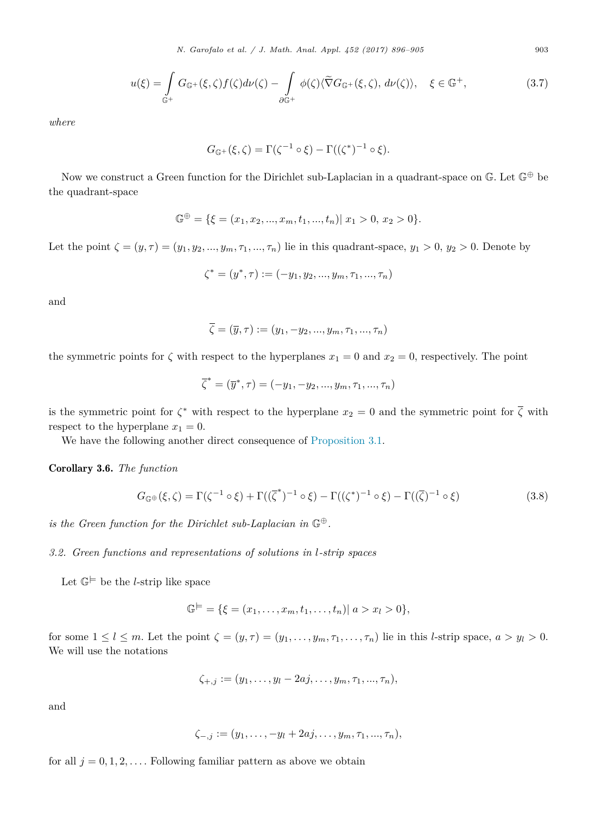*N. Garofalo et al. / J. Math. Anal. Appl. 452 (2017) 896–905* 903

$$
u(\xi) = \int_{\mathbb{G}^+} G_{\mathbb{G}^+}(\xi, \zeta) f(\zeta) d\nu(\zeta) - \int_{\partial \mathbb{G}^+} \phi(\zeta) \langle \widetilde{\nabla} G_{\mathbb{G}^+}(\xi, \zeta), d\nu(\zeta) \rangle, \quad \xi \in \mathbb{G}^+, \tag{3.7}
$$

*where*

$$
G_{\mathbb{G}^+}(\xi,\zeta)=\Gamma(\zeta^{-1}\circ\xi)-\Gamma((\zeta^*)^{-1}\circ\xi).
$$

Now we construct a Green function for the Dirichlet sub-Laplacian in a quadrant-space on  $\mathbb{G}$ . Let  $\mathbb{G}^{\oplus}$  be the quadrant-space

$$
\mathbb{G}^{\oplus} = \{ \xi = (x_1, x_2, ..., x_m, t_1, ..., t_n) | x_1 > 0, x_2 > 0 \}.
$$

Let the point  $\zeta = (y, \tau) = (y_1, y_2, ..., y_m, \tau_1, ..., \tau_n)$  lie in this quadrant-space,  $y_1 > 0$ ,  $y_2 > 0$ . Denote by

$$
\zeta^* = (y^*, \tau) := (-y_1, y_2, ..., y_m, \tau_1, ..., \tau_n)
$$

and

$$
\zeta = (\overline{y}, \tau) := (y_1, -y_2, \ldots, y_m, \tau_1, \ldots, \tau_n)
$$

the symmetric points for  $\zeta$  with respect to the hyperplanes  $x_1 = 0$  and  $x_2 = 0$ , respectively. The point

$$
\overline{\zeta}^* = (\overline{y}^*, \tau) = (-y_1, -y_2, ..., y_m, \tau_1, ..., \tau_n)
$$

is the symmetric point for  $\zeta^*$  with respect to the hyperplane  $x_2 = 0$  and the symmetric point for  $\overline{\zeta}$  with respect to the hyperplane  $x_1 = 0$ .

We have the following another direct consequence of [Proposition 3.1.](#page-4-0)

Corollary 3.6. *The function*

$$
G_{\mathbb{G}^{\oplus}}(\xi,\zeta) = \Gamma(\zeta^{-1} \circ \xi) + \Gamma((\overline{\zeta}^*)^{-1} \circ \xi) - \Gamma((\zeta^*)^{-1} \circ \xi) - \Gamma((\overline{\zeta})^{-1} \circ \xi)
$$
\n(3.8)

*is* the Green function for the Dirichlet sub-Laplacian in  $\mathbb{G}^{\oplus}$ .

#### *3.2. Green functions and representations of solutions in l-strip spaces*

Let  $\mathbb{G}^{\models}$  be the *l*-strip like space

$$
\mathbb{G}^{\models} = \{ \xi = (x_1, \dots, x_m, t_1, \dots, t_n) | a > x_l > 0 \},
$$

for some  $1 \leq l \leq m$ . Let the point  $\zeta = (y, \tau) = (y_1, \ldots, y_m, \tau_1, \ldots, \tau_n)$  lie in this *l*-strip space,  $a > y_l > 0$ . We will use the notations

$$
\zeta_{+,j} := (y_1, \ldots, y_l - 2aj, \ldots, y_m, \tau_1, \ldots, \tau_n),
$$

and

$$
\zeta_{-,j} := (y_1, \ldots, -y_l + 2aj, \ldots, y_m, \tau_1, \ldots, \tau_n),
$$

for all  $j = 0, 1, 2, \ldots$ . Following familiar pattern as above we obtain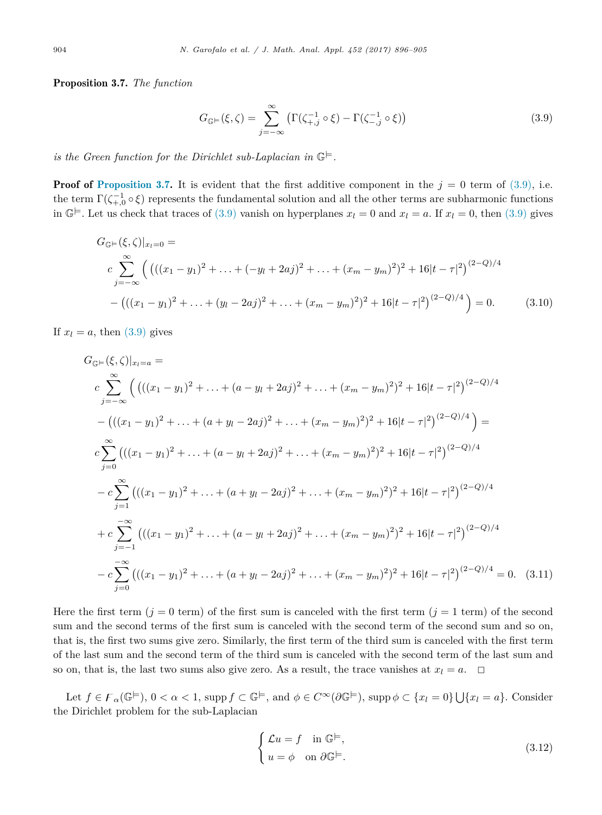<span id="page-8-0"></span>Proposition 3.7. *The function*

$$
G_{\mathbb{G}} = (\xi, \zeta) = \sum_{j = -\infty}^{\infty} \left( \Gamma(\zeta_{+,j}^{-1} \circ \xi) - \Gamma(\zeta_{-,j}^{-1} \circ \xi) \right)
$$
(3.9)

*is* the Green function for the Dirichlet sub-Laplacian in  $\mathbb{G}^{\models}$ .

**Proof of Proposition 3.7.** It is evident that the first additive component in the  $j = 0$  term of (3.9), i.e. the term  $\Gamma(\zeta_{+,0}^{-1} \circ \xi)$  represents the fundamental solution and all the other terms are subharmonic functions in  $\mathbb{G}^{\models}$ . Let us check that traces of (3.9) vanish on hyperplanes  $x_l = 0$  and  $x_l = a$ . If  $x_l = 0$ , then (3.9) gives

$$
G_{\mathbb{G}} = (\xi, \zeta)|_{x_l=0} =
$$
\n
$$
c \sum_{j=-\infty}^{\infty} \left( \left( ((x_1 - y_1)^2 + \ldots + (-y_l + 2aj)^2 + \ldots + (x_m - y_m)^2)^2 + 16|t - \tau|^2 \right)^{(2-Q)/4} \right.
$$
\n
$$
- \left( ((x_1 - y_1)^2 + \ldots + (y_l - 2aj)^2 + \ldots + (x_m - y_m)^2)^2 + 16|t - \tau|^2 \right)^{(2-Q)/4} = 0. \tag{3.10}
$$

If  $x_l = a$ , then  $(3.9)$  gives

$$
G_{\mathbb{G}} = (\xi, \zeta)|_{x_l=a} =
$$
\n
$$
c \sum_{j=-\infty}^{\infty} \left( \left( ((x_1 - y_1)^2 + \ldots + (a - y_l + 2aj)^2 + \ldots + (x_m - y_m)^2)^2 + 16|t - \tau|^2 \right)^{(2-Q)/4} \right)
$$
\n
$$
- \left( ((x_1 - y_1)^2 + \ldots + (a + y_l - 2aj)^2 + \ldots + (x_m - y_m)^2)^2 + 16|t - \tau|^2 \right)^{(2-Q)/4} \right) =
$$
\n
$$
c \sum_{j=0}^{\infty} \left( ((x_1 - y_1)^2 + \ldots + (a - y_l + 2aj)^2 + \ldots + (x_m - y_m)^2)^2 + 16|t - \tau|^2 \right)^{(2-Q)/4}
$$
\n
$$
- c \sum_{j=1}^{\infty} \left( ((x_1 - y_1)^2 + \ldots + (a + y_l - 2aj)^2 + \ldots + (x_m - y_m)^2)^2 + 16|t - \tau|^2 \right)^{(2-Q)/4}
$$
\n
$$
+ c \sum_{j=-1}^{-\infty} \left( ((x_1 - y_1)^2 + \ldots + (a - y_l + 2aj)^2 + \ldots + (x_m - y_m)^2)^2 + 16|t - \tau|^2 \right)^{(2-Q)/4}
$$
\n
$$
- c \sum_{j=0}^{-\infty} \left( ((x_1 - y_1)^2 + \ldots + (a + y_l - 2aj)^2 + \ldots + (x_m - y_m)^2)^2 + 16|t - \tau|^2 \right)^{(2-Q)/4} = 0. \quad (3.11)
$$

Here the first term  $(j = 0$  term) of the first sum is canceled with the first term  $(j = 1$  term) of the second sum and the second terms of the first sum is canceled with the second term of the second sum and so on, that is, the first two sums give zero. Similarly, the first term of the third sum is canceled with the first term of the last sum and the second term of the third sum is canceled with the second term of the last sum and so on, that is, the last two sums also give zero. As a result, the trace vanishes at  $x_l = a$ .  $\Box$ 

Let  $f \in \mathcal{F}_{\alpha}(\mathbb{G}^{\models}), 0 < \alpha < 1$ , supp  $f \subset \mathbb{G}^{\models}$ , and  $\phi \in C^{\infty}(\partial \mathbb{G}^{\models}),$  supp  $\phi \subset \{x_{l} = 0\} \cup \{x_{l} = a\}$ . Consider the Dirichlet problem for the sub-Laplacian

$$
\begin{cases}\n\mathcal{L}u = f & \text{in } \mathbb{G}^{\models}, \\
u = \phi & \text{on } \partial \mathbb{G}^{\models}.\n\end{cases}
$$
\n(3.12)